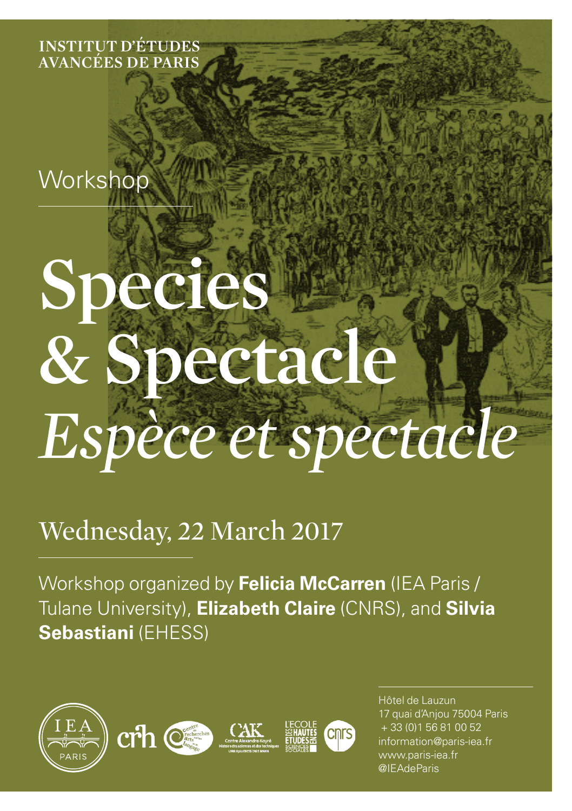**Institut d'Études Avancées de Paris**

**Workshop** 

# **Species & Spectacle** *Espèce et spectacle*

# Wednesday, 22 March 2017

Workshop organized by **Felicia McCarren** (IEA Paris / Tulane University), **Elizabeth Claire** (CNRS), and **Silvia Sebastiani** (EHESS)







Hôtel de Lauzun 17 quai d'Anjou 75004 Paris + 33 (0)1 56 81 00 52 information@paris-iea.fr www.paris-iea.fr @IEAdeParis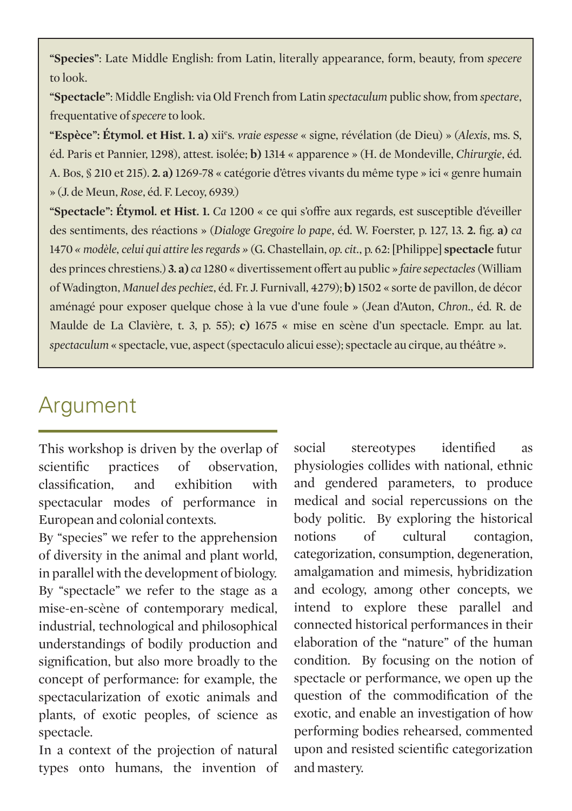**"Species"**: Late Middle English: from Latin, literally appearance, form, beauty, from *specere*  to look.

**"Spectacle"**: Middle English: via Old French from Latin *spectaculum* public show, from *spectare*, frequentative of *specere* to look.

**"Espèce": Étymol. et Hist. 1. a)** xiie s. *vraie espesse* « signe, révélation (de Dieu) » (*Alexis*, ms. S, éd. Paris et Pannier, 1298), attest. isolée; **b)** 1314 « apparence » (H. de Mondeville, *Chirurgie*, éd. A. Bos, § 210 et 215). **2. a)** 1269-78 « catégorie d'êtres vivants du même type » ici « genre humain » (J. de Meun, *Rose*, éd. F. Lecoy, 6939.)

**"Spectacle": Étymol. et Hist. 1.** *Ca* 1200 « ce qui s'offre aux regards, est susceptible d'éveiller des sentiments, des réactions » (*Dialoge Gregoire lo pape*, éd. W. Foerster, p. 127, 13. **2.** fig. **a)** *ca* 1470 *« modèle, celui qui attire les regards »* (G. Chastellain, *op. cit.*, p. 62: [Philippe] **spectacle** futur des princes chrestiens.) **3. a)** *ca* 1280 « divertissement offert au public » *faire sepectacles* (William of Wadington, *Manuel des pechiez*, éd. Fr. J. Furnivall, 4279); **b)** 1502 « sorte de pavillon, de décor aménagé pour exposer quelque chose à la vue d'une foule » (Jean d'Auton, *Chron*., éd. R. de Maulde de La Clavière, t. 3, p. 55); **c)** 1675 « mise en scène d'un spectacle. Empr. au lat. *spectaculum* « spectacle, vue, aspect (spectaculo alicui esse); spectacle au cirque, au théâtre ».

# Argument

This workshop is driven by the overlap of scientific practices of observation, classification, and exhibition with spectacular modes of performance in European and colonial contexts.

By "species" we refer to the apprehension of diversity in the animal and plant world, in parallel with the development of biology. By "spectacle" we refer to the stage as a mise-en-scène of contemporary medical, industrial, technological and philosophical understandings of bodily production and signification, but also more broadly to the concept of performance: for example, the spectacularization of exotic animals and plants, of exotic peoples, of science as spectacle.

In a context of the projection of natural types onto humans, the invention of

social stereotypes identified as physiologies collides with national, ethnic and gendered parameters, to produce medical and social repercussions on the body politic. By exploring the historical notions of cultural contagion, categorization, consumption, degeneration, amalgamation and mimesis, hybridization and ecology, among other concepts, we intend to explore these parallel and connected historical performances in their elaboration of the "nature" of the human condition. By focusing on the notion of spectacle or performance, we open up the question of the commodification of the exotic, and enable an investigation of how performing bodies rehearsed, commented upon and resisted scientific categorization and mastery.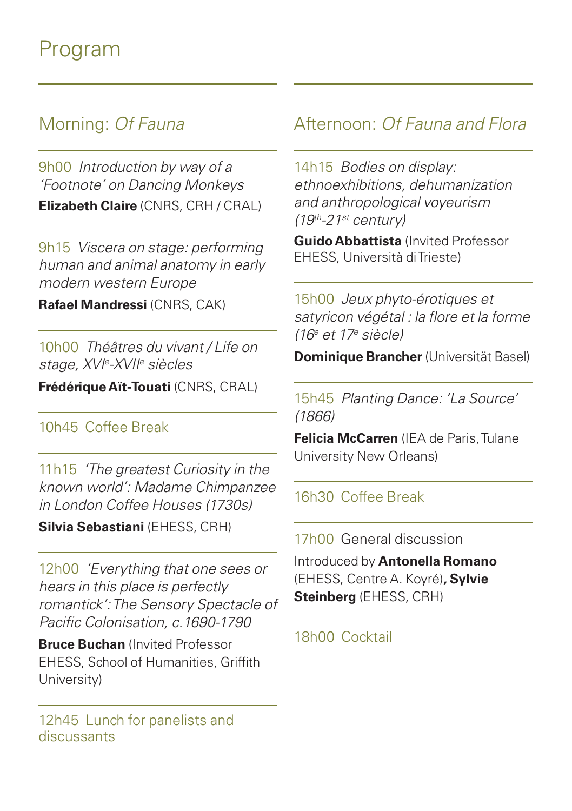# Program

## Morning: *Of Fauna*

9h00 *Introduction by way of a 'Footnote' on Dancing Monkeys* **Elizabeth Claire** (CNRS, CRH / CRAL)

9h15 *Viscera on stage: performing human and animal anatomy in early modern western Europe*

**Rafael Mandressi** (CNRS, CAK)

10h00 *Théâtres du vivant / Life on stage, XVIe -XVIIe siècles* 

**Frédérique Aït-Touati** (CNRS, CRAL)

#### 10h45 Coffee Break

11h15 *'The greatest Curiosity in the known world': Madame Chimpanzee in London Coffee Houses (1730s)*

**Silvia Sebastiani** (EHESS, CRH)

12h00 *'Everything that one sees or hears in this place is perfectly romantick': The Sensory Spectacle of Pacific Colonisation, c.1690-1790*

**Bruce Buchan** (Invited Professor EHESS, School of Humanities, Griffith University)

12h45 Lunch for panelists and discussants

## Afternoon: *Of Fauna and Flora*

14h15 *Bodies on display: ethnoexhibitions, dehumanization and anthropological voyeurism (19th-21st century)*

**Guido Abbattista** (Invited Professor EHESS, Università di Trieste)

15h00 *Jeux phyto-érotiques et satyricon végétal : la flore et la forme (16e et 17e siècle)* 

**Dominique Brancher** (Universität Basel)

15h45 *Planting Dance: 'La Source' (1866)*

**Felicia McCarren** (IEA de Paris, Tulane University New Orleans)

16h30 Coffee Break

17h00 General discussion

Introduced by **Antonella Romano** (EHESS, Centre A. Koyré)**, Sylvie Steinberg** (EHESS, CRH)

18h00 Cocktail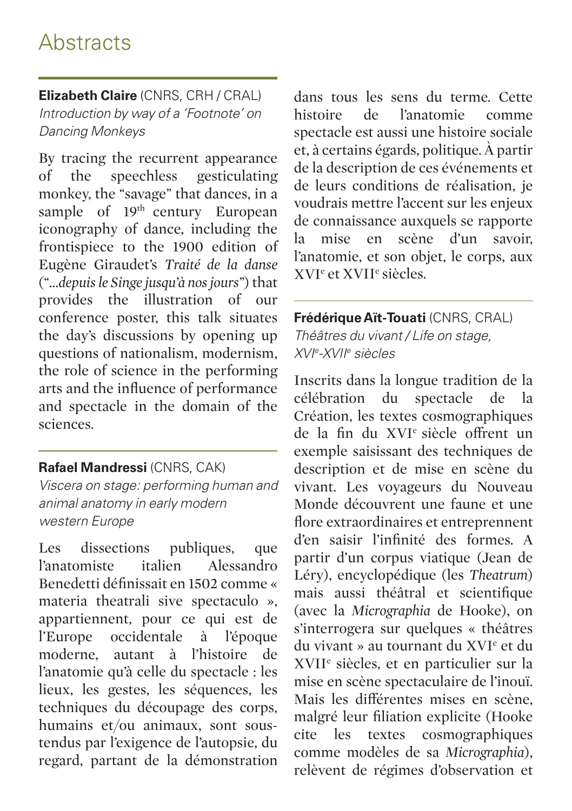# **Abstracts**

**Elizabeth Claire** (CNRS, CRH / CRAL) *Introduction by way of a 'Footnote' on Dancing Monkeys*

By tracing the recurrent appearance of the speechless gesticulating monkey, the "savage" that dances, in a sample of 19<sup>th</sup> century European iconography of dance, including the frontispiece to the 1900 edition of Eugène Giraudet's *Traité de la danse* (*"…depuis le Singe jusqu'à nos jours"*) that provides the illustration of our conference poster, this talk situates the day's discussions by opening up questions of nationalism, modernism, the role of science in the performing arts and the influence of performance and spectacle in the domain of the sciences.

#### **Rafael Mandressi** (CNRS, CAK)

*Viscera on stage: performing human and animal anatomy in early modern western Europe*

Les dissections publiques, que l'anatomiste italien Alessandro Benedetti définissait en 1502 comme « materia theatrali sive spectaculo », appartiennent, pour ce qui est de l'Europe occidentale à l'époque moderne, autant à l'histoire de l'anatomie qu'à celle du spectacle : les lieux, les gestes, les séquences, les techniques du découpage des corps, humains et/ou animaux, sont soustendus par l'exigence de l'autopsie, du regard, partant de la démonstration

dans tous les sens du terme. Cette histoire de l'anatomie comme spectacle est aussi une histoire sociale et, à certains égards, politique. À partir de la description de ces événements et de leurs conditions de réalisation, je voudrais mettre l'accent sur les enjeux de connaissance auxquels se rapporte<br>la mise en scène d'un savoir la mise en scène d'un savoir, l'anatomie, et son objet, le corps, aux XVIe et XVIIe siècles.

**Frédérique Aït-Touati** (CNRS, CRAL) *Théâtres du vivant / Life on stage, XVIe -XVIIe siècles*

Inscrits dans la longue tradition de la célébration du spectacle de la Création, les textes cosmographiques de la fin du XVIe siècle offrent un exemple saisissant des techniques de description et de mise en scène du vivant. Les voyageurs du Nouveau Monde découvrent une faune et une flore extraordinaires et entreprennent d'en saisir l'infinité des formes. A partir d'un corpus viatique (Jean de Léry), encyclopédique (les *Theatrum*) mais aussi théâtral et scientifique (avec la *Micrographia* de Hooke), on s'interrogera sur quelques « théâtres du vivant » au tournant du XVIe et du XVIIe siècles, et en particulier sur la mise en scène spectaculaire de l'inouï. Mais les différentes mises en scène, malgré leur filiation explicite (Hooke cite les textes cosmographiques comme modèles de sa *Micrographia*), relèvent de régimes d'observation et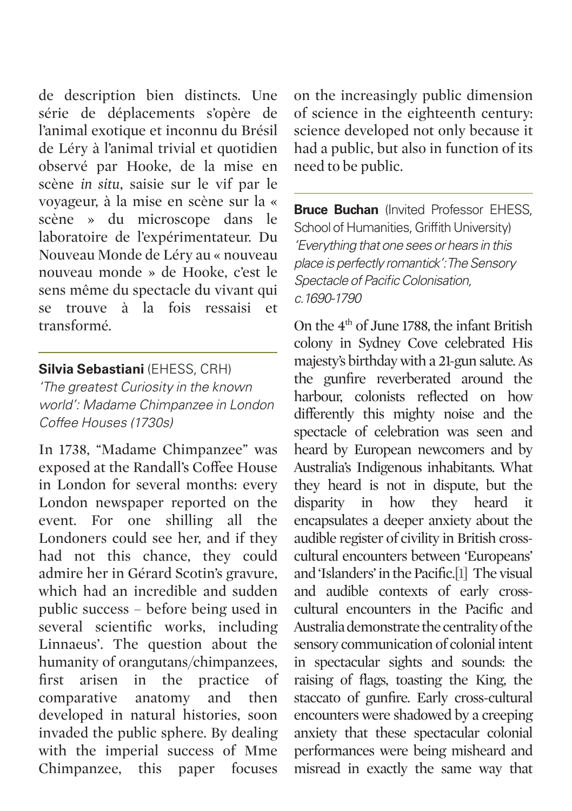de description bien distincts. Une série de déplacements s'opère de l'animal exotique et inconnu du Brésil de Léry à l'animal trivial et quotidien observé par Hooke, de la mise en scène *in situ*, saisie sur le vif par le voyageur, à la mise en scène sur la « scène » du microscope dans le laboratoire de l'expérimentateur. Du Nouveau Monde de Léry au « nouveau nouveau monde » de Hooke, c'est le sens même du spectacle du vivant qui se trouve à la fois ressaisi et transformé.

#### **Silvia Sebastiani** (EHESS, CRH)

*'The greatest Curiosity in the known world': Madame Chimpanzee in London Coffee Houses (1730s)*

In 1738, "Madame Chimpanzee" was exposed at the Randall's Coffee House in London for several months: every London newspaper reported on the event. For one shilling all the Londoners could see her, and if they had not this chance, they could admire her in Gérard Scotin's gravure, which had an incredible and sudden public success – before being used in several scientific works, including Linnaeus'. The question about the humanity of orangutans/chimpanzees, first arisen in the practice of comparative anatomy and then developed in natural histories, soon invaded the public sphere. By dealing with the imperial success of Mme Chimpanzee, this paper focuses

on the increasingly public dimension of science in the eighteenth century: science developed not only because it had a public, but also in function of its need to be public.

**Bruce Buchan** (Invited Professor EHESS, School of Humanities, Griffith University) *'Everything that one sees or hears in this place is perfectly romantick': The Sensory Spectacle of Pacific Colonisation, c.1690-1790*

On the 4th of June 1788, the infant British colony in Sydney Cove celebrated His majesty's birthday with a 21-gun salute. As the gunfire reverberated around the harbour, colonists reflected on how differently this mighty noise and the spectacle of celebration was seen and heard by European newcomers and by Australia's Indigenous inhabitants. What they heard is not in dispute, but the disparity in how they heard it encapsulates a deeper anxiety about the audible register of civility in British crosscultural encounters between 'Europeans' and 'Islanders' in the Pacific.[1] The visual and audible contexts of early crosscultural encounters in the Pacific and Australia demonstrate the centrality of the sensory communication of colonial intent in spectacular sights and sounds: the raising of flags, toasting the King, the staccato of gunfire. Early cross-cultural encounters were shadowed by a creeping anxiety that these spectacular colonial performances were being misheard and misread in exactly the same way that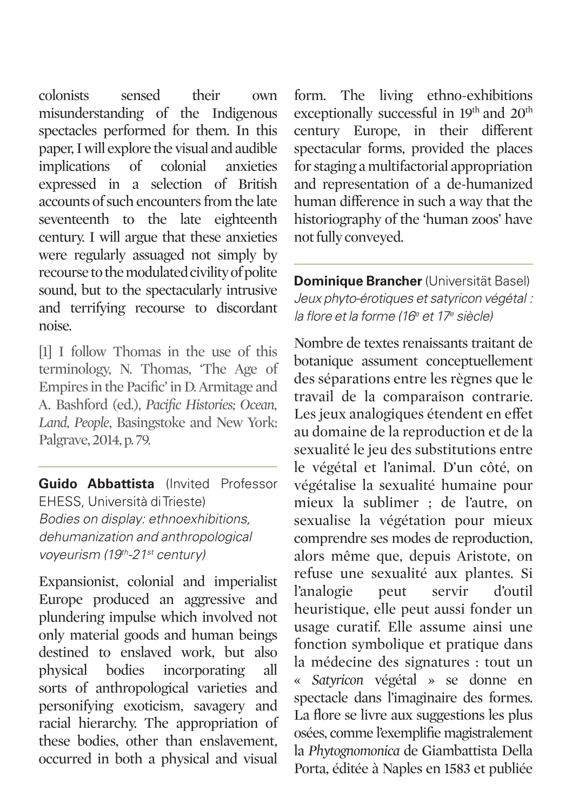colonists sensed their own misunderstanding of the Indigenous spectacles performed for them. In this paper, I will explore the visual and audible implications of colonial anxieties expressed in a selection of British accounts of such encounters from the late seventeenth to the late eighteenth century. I will argue that these anxieties were regularly assuaged not simply by recourse to the modulated civility of polite sound, but to the spectacularly intrusive and terrifying recourse to discordant noise.

[1] I follow Thomas in the use of this terminology, N. Thomas, 'The Age of Empires in the Pacific' in D. Armitage and A. Bashford (ed.), *Pacific Histories; Ocean, Land, People*, Basingstoke and New York: Palgrave, 2014, p. 79.

**Guido Abbattista** (Invited Professor EHESS, Università di Trieste) *Bodies on display: ethnoexhibitions, dehumanization and anthropological voyeurism (19th-21st century)*

Expansionist, colonial and imperialist Europe produced an aggressive and plundering impulse which involved not only material goods and human beings destined to enslaved work, but also physical bodies incorporating all sorts of anthropological varieties and personifying exoticism, savagery and racial hierarchy. The appropriation of these bodies, other than enslavement, occurred in both a physical and visual

form. The living ethno-exhibitions exceptionally successful in 19th and 20th century Europe, in their different spectacular forms, provided the places for staging a multifactorial appropriation and representation of a de-humanized human difference in such a way that the historiography of the 'human zoos' have not fully conveyed.

**Dominique Brancher** (Universität Basel) *Jeux phyto-érotiques et satyricon végétal : la flore et la forme (16e et 17e siècle)*

Nombre de textes renaissants traitant de botanique assument conceptuellement des séparations entre les règnes que le travail de la comparaison contrarie. Les jeux analogiques étendent en effet au domaine de la reproduction et de la sexualité le jeu des substitutions entre le végétal et l'animal. D'un côté, on végétalise la sexualité humaine pour mieux la sublimer ; de l'autre, on sexualise la végétation pour mieux comprendre ses modes de reproduction, alors même que, depuis Aristote, on refuse une sexualité aux plantes. Si l'analogie peut servir d'outil heuristique, elle peut aussi fonder un usage curatif. Elle assume ainsi une fonction symbolique et pratique dans la médecine des signatures : tout un « *Satyricon* végétal » se donne en spectacle dans l'imaginaire des formes. La flore se livre aux suggestions les plus osées, comme l'exemplifie magistralement la *Phytognomonica* de Giambattista Della Porta, éditée à Naples en 1583 et publiée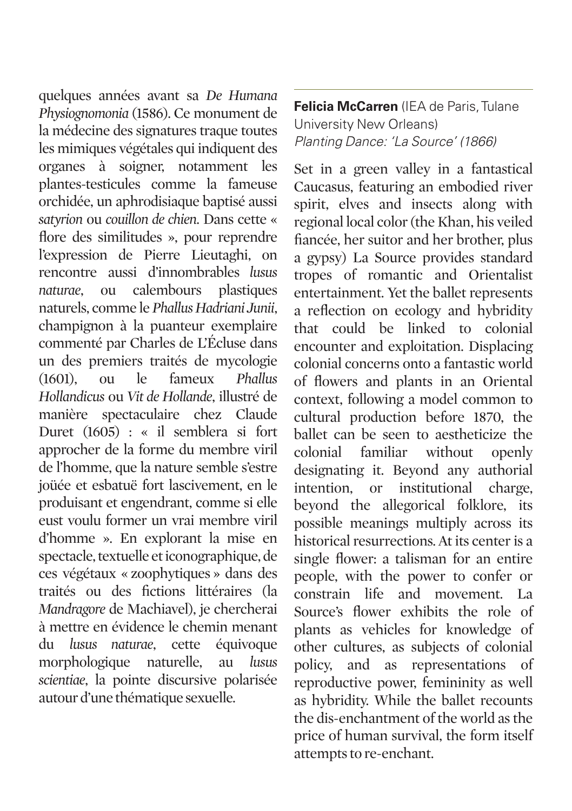quelques années avant sa *De Humana Physiognomonia* (1586). Ce monument de la médecine des signatures traque toutes les mimiques végétales qui indiquent des organes à soigner, notamment les plantes-testicules comme la fameuse orchidée, un aphrodisiaque baptisé aussi *satyrion* ou *couillon de chien*. Dans cette « flore des similitudes », pour reprendre l'expression de Pierre Lieutaghi, on rencontre aussi d'innombrables *lusus naturae*, ou calembours plastiques naturels, comme le *Phallus Hadriani Junii*, champignon à la puanteur exemplaire commenté par Charles de L'Écluse dans un des premiers traités de mycologie (1601), ou le fameux *Phallus Hollandicus* ou *Vit de Hollande*, illustré de manière spectaculaire chez Claude Duret (1605) : « il semblera si fort approcher de la forme du membre viril de l'homme, que la nature semble s'estre joüée et esbatuë fort lascivement, en le produisant et engendrant, comme si elle eust voulu former un vrai membre viril d'homme ». En explorant la mise en spectacle, textuelle et iconographique, de ces végétaux « zoophytiques » dans des traités ou des fictions littéraires (la *Mandragore* de Machiavel), je chercherai à mettre en évidence le chemin menant du *lusus naturae*, cette équivoque morphologique naturelle, au *lusus scientiae*, la pointe discursive polarisée autour d'une thématique sexuelle.

**Felicia McCarren** (IEA de Paris, Tulane University New Orleans) *Planting Dance: 'La Source' (1866)*

Set in a green valley in a fantastical Caucasus, featuring an embodied river spirit, elves and insects along with regional local color (the Khan, his veiled fiancée, her suitor and her brother, plus a gypsy) La Source provides standard tropes of romantic and Orientalist entertainment. Yet the ballet represents a reflection on ecology and hybridity that could be linked to colonial encounter and exploitation. Displacing colonial concerns onto a fantastic world of flowers and plants in an Oriental context, following a model common to cultural production before 1870, the ballet can be seen to aestheticize the colonial familiar without openly designating it. Beyond any authorial intention, or institutional charge, beyond the allegorical folklore, its possible meanings multiply across its historical resurrections. At its center is a single flower: a talisman for an entire people, with the power to confer or constrain life and movement. La Source's flower exhibits the role of plants as vehicles for knowledge of other cultures, as subjects of colonial policy, and as representations of reproductive power, femininity as well as hybridity. While the ballet recounts the dis-enchantment of the world as the price of human survival, the form itself attempts to re-enchant.